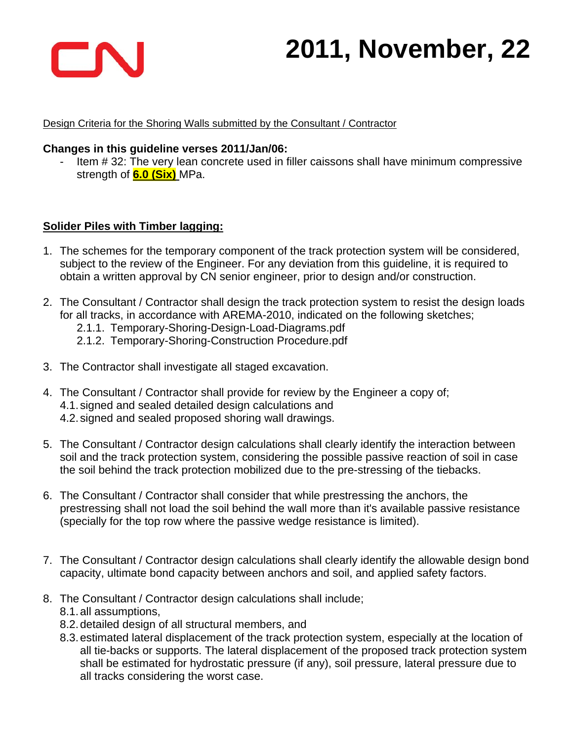

#### Design Criteria for the Shoring Walls submitted by the Consultant / Contractor

#### **Changes in this guideline verses 2011/Jan/06:**

- Item # 32: The very lean concrete used in filler caissons shall have minimum compressive strength of **6.0 (Six)** MPa.

#### **Solider Piles with Timber lagging:**

- 1. The schemes for the temporary component of the track protection system will be considered, subject to the review of the Engineer. For any deviation from this guideline, it is required to obtain a written approval by CN senior engineer, prior to design and/or construction.
- 2. The Consultant / Contractor shall design the track protection system to resist the design loads for all tracks, in accordance with AREMA-2010, indicated on the following sketches;
	- 2.1.1. Temporary-Shoring-Design-Load-Diagrams.pdf
	- 2.1.2. Temporary-Shoring-Construction Procedure.pdf
- 3. The Contractor shall investigate all staged excavation.
- 4. The Consultant / Contractor shall provide for review by the Engineer a copy of; 4.1. signed and sealed detailed design calculations and 4.2. signed and sealed proposed shoring wall drawings.
- 5. The Consultant / Contractor design calculations shall clearly identify the interaction between soil and the track protection system, considering the possible passive reaction of soil in case the soil behind the track protection mobilized due to the pre-stressing of the tiebacks.
- 6. The Consultant / Contractor shall consider that while prestressing the anchors, the prestressing shall not load the soil behind the wall more than it's available passive resistance (specially for the top row where the passive wedge resistance is limited).
- 7. The Consultant / Contractor design calculations shall clearly identify the allowable design bond capacity, ultimate bond capacity between anchors and soil, and applied safety factors.
- 8. The Consultant / Contractor design calculations shall include; 8.1. all assumptions,
	- 8.2. detailed design of all structural members, and
	- 8.3. estimated lateral displacement of the track protection system, especially at the location of all tie-backs or supports. The lateral displacement of the proposed track protection system shall be estimated for hydrostatic pressure (if any), soil pressure, lateral pressure due to all tracks considering the worst case.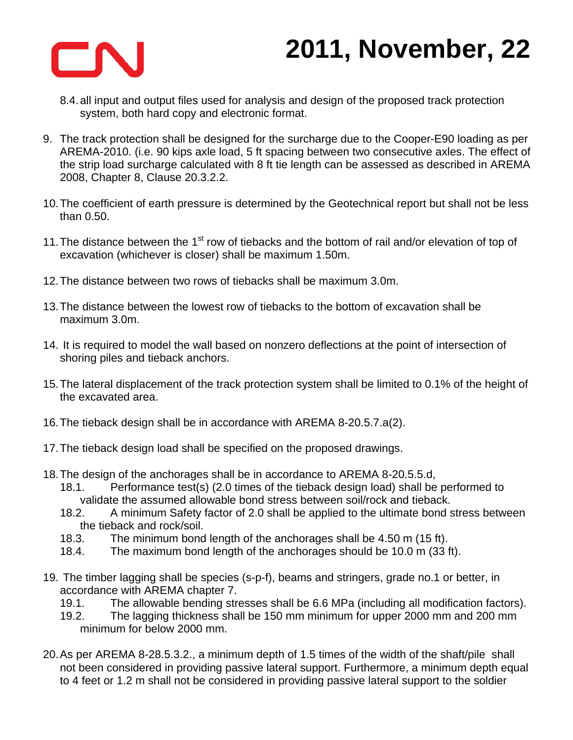

- 8.4. all input and output files used for analysis and design of the proposed track protection system, both hard copy and electronic format.
- 9. The track protection shall be designed for the surcharge due to the Cooper-E90 loading as per AREMA-2010. (i.e. 90 kips axle load, 5 ft spacing between two consecutive axles. The effect of the strip load surcharge calculated with 8 ft tie length can be assessed as described in AREMA 2008, Chapter 8, Clause 20.3.2.2.
- 10. The coefficient of earth pressure is determined by the Geotechnical report but shall not be less than 0.50.
- 11. The distance between the  $1<sup>st</sup>$  row of tiebacks and the bottom of rail and/or elevation of top of excavation (whichever is closer) shall be maximum 1.50m.
- 12. The distance between two rows of tiebacks shall be maximum 3.0m.
- 13. The distance between the lowest row of tiebacks to the bottom of excavation shall be maximum 3.0m.
- 14. It is required to model the wall based on nonzero deflections at the point of intersection of shoring piles and tieback anchors.
- 15. The lateral displacement of the track protection system shall be limited to 0.1% of the height of the excavated area.
- 16. The tieback design shall be in accordance with AREMA 8-20.5.7.a(2).
- 17. The tieback design load shall be specified on the proposed drawings.
- 18. The design of the anchorages shall be in accordance to AREMA 8-20.5.5.d,
	- 18.1. Performance test(s) (2.0 times of the tieback design load) shall be performed to validate the assumed allowable bond stress between soil/rock and tieback.
	- 18.2. A minimum Safety factor of 2.0 shall be applied to the ultimate bond stress between the tieback and rock/soil.
	- 18.3. The minimum bond length of the anchorages shall be 4.50 m (15 ft).
	- 18.4. The maximum bond length of the anchorages should be 10.0 m (33 ft).
- 19. The timber lagging shall be species (s-p-f), beams and stringers, grade no.1 or better, in accordance with AREMA chapter 7.
	- 19.1. The allowable bending stresses shall be 6.6 MPa (including all modification factors).
	- 19.2. The lagging thickness shall be 150 mm minimum for upper 2000 mm and 200 mm minimum for below 2000 mm.
- 20. As per AREMA 8-28.5.3.2., a minimum depth of 1.5 times of the width of the shaft/pile shall not been considered in providing passive lateral support. Furthermore, a minimum depth equal to 4 feet or 1.2 m shall not be considered in providing passive lateral support to the soldier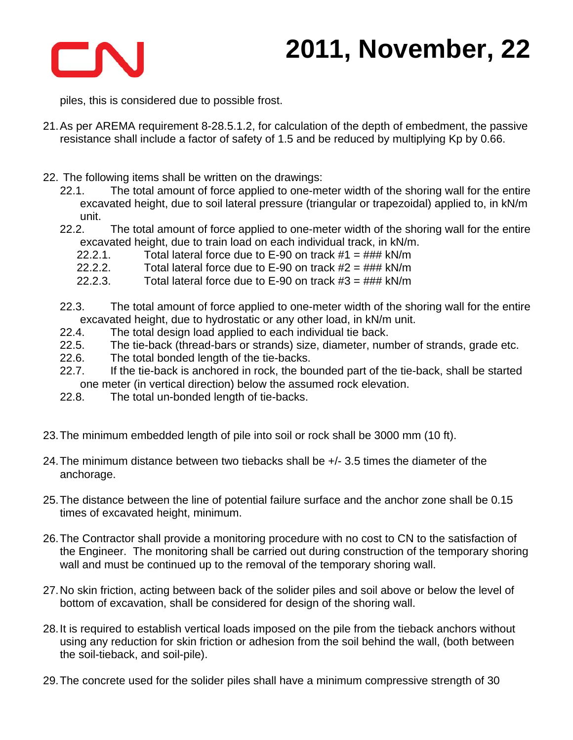

piles, this is considered due to possible frost.

- 21. As per AREMA requirement 8-28.5.1.2, for calculation of the depth of embedment, the passive resistance shall include a factor of safety of 1.5 and be reduced by multiplying Kp by 0.66.
- 22. The following items shall be written on the drawings:
	- 22.1. The total amount of force applied to one-meter width of the shoring wall for the entire excavated height, due to soil lateral pressure (triangular or trapezoidal) applied to, in kN/m unit.
	- 22.2. The total amount of force applied to one-meter width of the shoring wall for the entire excavated height, due to train load on each individual track, in kN/m.
		- 22.2.1. Total lateral force due to  $E-90$  on track  $#1 = ### kN/m$
		- 22.2.2. Total lateral force due to E-90 on track  $#2 = ### kN/m$
		- 22.2.3. Total lateral force due to  $E$ -90 on track  $#3 = ### kN/m$
	- 22.3. The total amount of force applied to one-meter width of the shoring wall for the entire excavated height, due to hydrostatic or any other load, in kN/m unit.
	- 22.4. The total design load applied to each individual tie back.
	- 22.5. The tie-back (thread-bars or strands) size, diameter, number of strands, grade etc.
	- 22.6. The total bonded length of the tie-backs.
	- 22.7. If the tie-back is anchored in rock, the bounded part of the tie-back, shall be started one meter (in vertical direction) below the assumed rock elevation.
	- 22.8. The total un-bonded length of tie-backs.
- 23. The minimum embedded length of pile into soil or rock shall be 3000 mm (10 ft).
- 24. The minimum distance between two tiebacks shall be +/- 3.5 times the diameter of the anchorage.
- 25. The distance between the line of potential failure surface and the anchor zone shall be 0.15 times of excavated height, minimum.
- 26. The Contractor shall provide a monitoring procedure with no cost to CN to the satisfaction of the Engineer. The monitoring shall be carried out during construction of the temporary shoring wall and must be continued up to the removal of the temporary shoring wall.
- 27. No skin friction, acting between back of the solider piles and soil above or below the level of bottom of excavation, shall be considered for design of the shoring wall.
- 28. It is required to establish vertical loads imposed on the pile from the tieback anchors without using any reduction for skin friction or adhesion from the soil behind the wall, (both between the soil-tieback, and soil-pile).
- 29. The concrete used for the solider piles shall have a minimum compressive strength of 30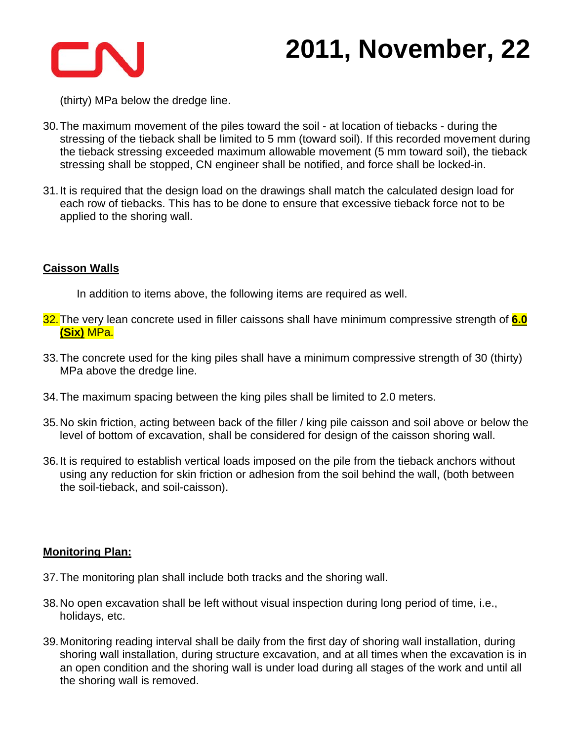

(thirty) MPa below the dredge line.

- 30. The maximum movement of the piles toward the soil at location of tiebacks during the stressing of the tieback shall be limited to 5 mm (toward soil). If this recorded movement during the tieback stressing exceeded maximum allowable movement (5 mm toward soil), the tieback stressing shall be stopped, CN engineer shall be notified, and force shall be locked-in.
- 31. It is required that the design load on the drawings shall match the calculated design load for each row of tiebacks. This has to be done to ensure that excessive tieback force not to be applied to the shoring wall.

#### **Caisson Walls**

In addition to items above, the following items are required as well.

- 32. The very lean concrete used in filler caissons shall have minimum compressive strength of **6.0 (Six)** MPa.
- 33. The concrete used for the king piles shall have a minimum compressive strength of 30 (thirty) MPa above the dredge line.
- 34. The maximum spacing between the king piles shall be limited to 2.0 meters.
- 35. No skin friction, acting between back of the filler / king pile caisson and soil above or below the level of bottom of excavation, shall be considered for design of the caisson shoring wall.
- 36. It is required to establish vertical loads imposed on the pile from the tieback anchors without using any reduction for skin friction or adhesion from the soil behind the wall, (both between the soil-tieback, and soil-caisson).

### **Monitoring Plan:**

- 37. The monitoring plan shall include both tracks and the shoring wall.
- 38. No open excavation shall be left without visual inspection during long period of time, i.e., holidays, etc.
- 39. Monitoring reading interval shall be daily from the first day of shoring wall installation, during shoring wall installation, during structure excavation, and at all times when the excavation is in an open condition and the shoring wall is under load during all stages of the work and until all the shoring wall is removed.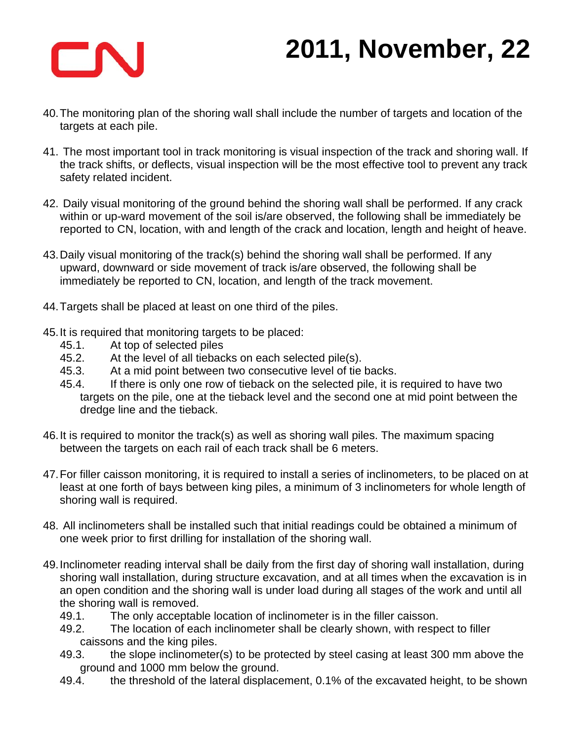

- 40. The monitoring plan of the shoring wall shall include the number of targets and location of the targets at each pile.
- 41. The most important tool in track monitoring is visual inspection of the track and shoring wall. If the track shifts, or deflects, visual inspection will be the most effective tool to prevent any track safety related incident.
- 42. Daily visual monitoring of the ground behind the shoring wall shall be performed. If any crack within or up-ward movement of the soil is/are observed, the following shall be immediately be reported to CN, location, with and length of the crack and location, length and height of heave.
- 43. Daily visual monitoring of the track(s) behind the shoring wall shall be performed. If any upward, downward or side movement of track is/are observed, the following shall be immediately be reported to CN, location, and length of the track movement.
- 44. Targets shall be placed at least on one third of the piles.
- 45. It is required that monitoring targets to be placed:
	- 45.1. At top of selected piles
	- 45.2. At the level of all tiebacks on each selected pile(s).
	- 45.3. At a mid point between two consecutive level of tie backs.
	- 45.4. If there is only one row of tieback on the selected pile, it is required to have two targets on the pile, one at the tieback level and the second one at mid point between the dredge line and the tieback.
- 46. It is required to monitor the track(s) as well as shoring wall piles. The maximum spacing between the targets on each rail of each track shall be 6 meters.
- 47. For filler caisson monitoring, it is required to install a series of inclinometers, to be placed on at least at one forth of bays between king piles, a minimum of 3 inclinometers for whole length of shoring wall is required.
- 48. All inclinometers shall be installed such that initial readings could be obtained a minimum of one week prior to first drilling for installation of the shoring wall.
- 49. Inclinometer reading interval shall be daily from the first day of shoring wall installation, during shoring wall installation, during structure excavation, and at all times when the excavation is in an open condition and the shoring wall is under load during all stages of the work and until all the shoring wall is removed.
	- 49.1. The only acceptable location of inclinometer is in the filler caisson.
	- 49.2. The location of each inclinometer shall be clearly shown, with respect to filler caissons and the king piles.
	- 49.3. the slope inclinometer(s) to be protected by steel casing at least 300 mm above the ground and 1000 mm below the ground.
	- 49.4. the threshold of the lateral displacement, 0.1% of the excavated height, to be shown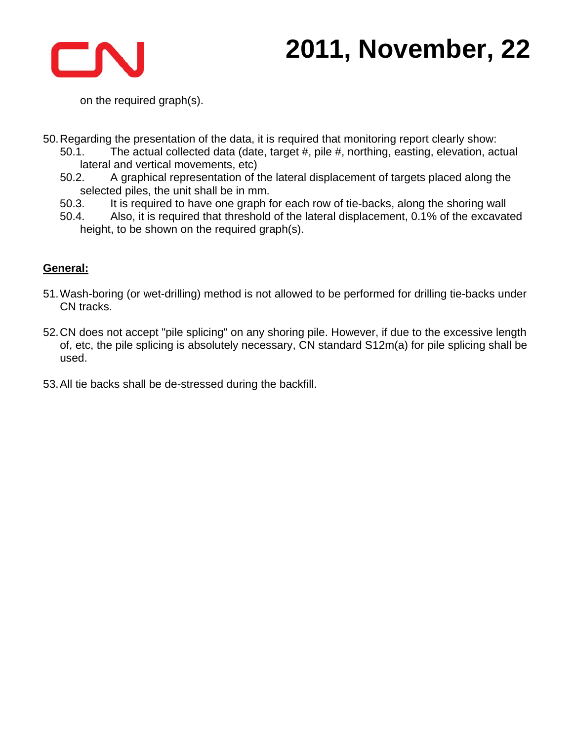

on the required graph(s).

50. Regarding the presentation of the data, it is required that monitoring report clearly show:

- 50.1. The actual collected data (date, target #, pile #, northing, easting, elevation, actual lateral and vertical movements, etc)
- 50.2. A graphical representation of the lateral displacement of targets placed along the selected piles, the unit shall be in mm.
- 50.3. It is required to have one graph for each row of tie-backs, along the shoring wall
- 50.4. Also, it is required that threshold of the lateral displacement, 0.1% of the excavated height, to be shown on the required graph(s).

### **General:**

- 51. Wash-boring (or wet-drilling) method is not allowed to be performed for drilling tie-backs under CN tracks.
- 52. CN does not accept "pile splicing" on any shoring pile. However, if due to the excessive length of, etc, the pile splicing is absolutely necessary, CN standard S12m(a) for pile splicing shall be used.
- 53. All tie backs shall be de-stressed during the backfill.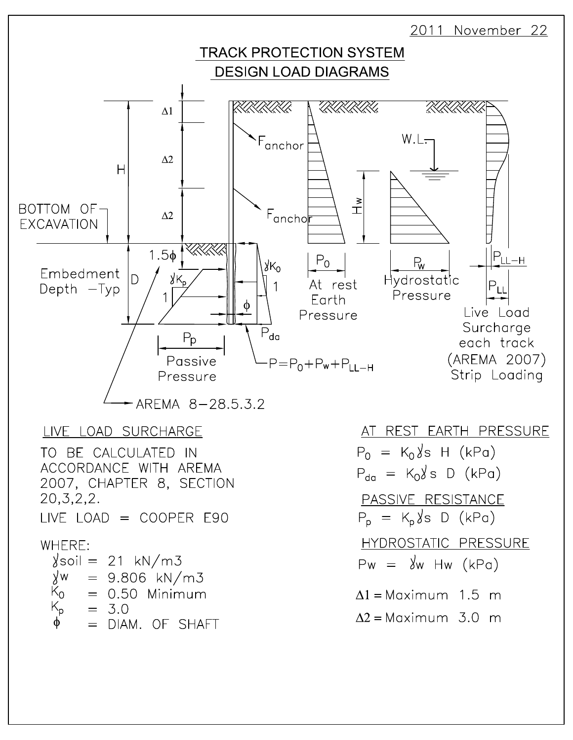